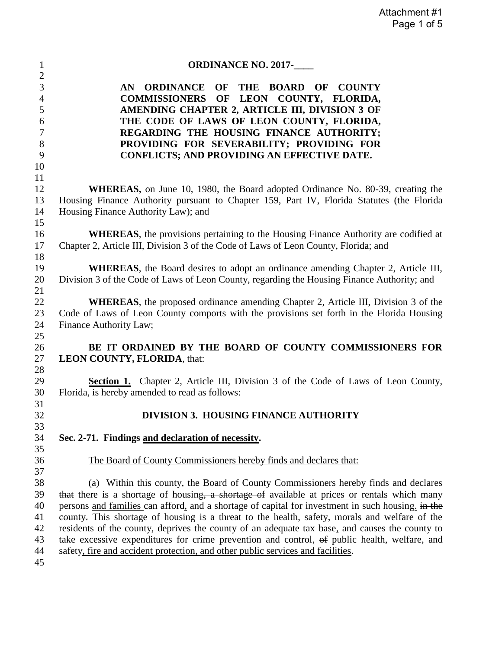| $\mathbf{1}$        | <b>ORDINANCE NO. 2017-</b>                                                                        |
|---------------------|---------------------------------------------------------------------------------------------------|
| $\mathbf{2}$        |                                                                                                   |
| 3<br>$\overline{4}$ | ORDINANCE OF THE BOARD OF COUNTY<br>AN<br>OF LEON COUNTY, FLORIDA,<br><b>COMMISSIONERS</b>        |
| 5                   | AMENDING CHAPTER 2, ARTICLE III, DIVISION 3 OF                                                    |
| 6                   | THE CODE OF LAWS OF LEON COUNTY, FLORIDA,                                                         |
| 7                   | REGARDING THE HOUSING FINANCE AUTHORITY;                                                          |
| 8                   | PROVIDING FOR SEVERABILITY; PROVIDING FOR                                                         |
| 9                   | <b>CONFLICTS; AND PROVIDING AN EFFECTIVE DATE.</b>                                                |
| 10                  |                                                                                                   |
| 11                  |                                                                                                   |
| 12                  | <b>WHEREAS</b> , on June 10, 1980, the Board adopted Ordinance No. 80-39, creating the            |
| 13                  | Housing Finance Authority pursuant to Chapter 159, Part IV, Florida Statutes (the Florida         |
| 14                  | Housing Finance Authority Law); and                                                               |
| 15                  |                                                                                                   |
| 16                  | <b>WHEREAS</b> , the provisions pertaining to the Housing Finance Authority are codified at       |
| 17                  | Chapter 2, Article III, Division 3 of the Code of Laws of Leon County, Florida; and               |
| 18                  |                                                                                                   |
| 19                  | <b>WHEREAS</b> , the Board desires to adopt an ordinance amending Chapter 2, Article III,         |
| 20                  | Division 3 of the Code of Laws of Leon County, regarding the Housing Finance Authority; and       |
| 21                  |                                                                                                   |
| 22                  | <b>WHEREAS</b> , the proposed ordinance amending Chapter 2, Article III, Division 3 of the        |
| 23                  | Code of Laws of Leon County comports with the provisions set forth in the Florida Housing         |
| 24                  | Finance Authority Law;                                                                            |
| 25                  |                                                                                                   |
| 26                  | BE IT ORDAINED BY THE BOARD OF COUNTY COMMISSIONERS FOR                                           |
| 27                  | LEON COUNTY, FLORIDA, that:                                                                       |
| 28                  |                                                                                                   |
| 29                  | <b>Section 1.</b> Chapter 2, Article III, Division 3 of the Code of Laws of Leon County,          |
| 30                  | Florida, is hereby amended to read as follows:                                                    |
| 31<br>32            | <b>DIVISION 3. HOUSING FINANCE AUTHORITY</b>                                                      |
| 33                  |                                                                                                   |
| 34                  | Sec. 2-71. Findings and declaration of necessity.                                                 |
| 35                  |                                                                                                   |
| 36                  | The Board of County Commissioners hereby finds and declares that:                                 |
| 37                  |                                                                                                   |
| 38                  | (a) Within this county, the Board of County Commissioners hereby finds and declares               |
| 39                  | that there is a shortage of housing, a shortage of available at prices or rentals which many      |
| 40                  | persons and families can afford, and a shortage of capital for investment in such housing. in the |
| 41                  | eounty. This shortage of housing is a threat to the health, safety, morals and welfare of the     |
| 42                  | residents of the county, deprives the county of an adequate tax base, and causes the county to    |
| 43                  | take excessive expenditures for crime prevention and control, of public health, welfare, and      |
| 44                  | safety, fire and accident protection, and other public services and facilities.                   |
| 45                  |                                                                                                   |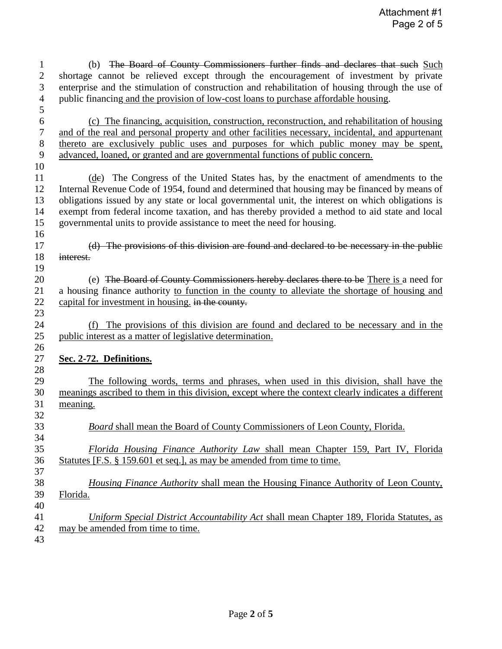| $\mathbf{1}$     | (b) The Board of County Commissioners further finds and declares that such Such                    |
|------------------|----------------------------------------------------------------------------------------------------|
| $\mathbf{2}$     | shortage cannot be relieved except through the encouragement of investment by private              |
| 3                | enterprise and the stimulation of construction and rehabilitation of housing through the use of    |
| $\overline{4}$   | public financing and the provision of low-cost loans to purchase affordable housing.               |
| 5                |                                                                                                    |
| $\sqrt{6}$       | (c) The financing, acquisition, construction, reconstruction, and rehabilitation of housing        |
| $\boldsymbol{7}$ | and of the real and personal property and other facilities necessary, incidental, and appurtenant  |
| $8\,$            | thereto are exclusively public uses and purposes for which public money may be spent,              |
| 9                | advanced, loaned, or granted and are governmental functions of public concern.                     |
| 10               |                                                                                                    |
| 11               | The Congress of the United States has, by the enactment of amendments to the<br>(de)               |
| 12               | Internal Revenue Code of 1954, found and determined that housing may be financed by means of       |
| 13               | obligations issued by any state or local governmental unit, the interest on which obligations is   |
| 14               | exempt from federal income taxation, and has thereby provided a method to aid state and local      |
| 15               | governmental units to provide assistance to meet the need for housing.                             |
| 16               |                                                                                                    |
| 17               | (d) The provisions of this division are found and declared to be necessary in the public           |
| 18               | interest.                                                                                          |
| 19               |                                                                                                    |
| 20               | (e) The Board of County Commissioners hereby declares there to be There is a need for              |
| 21               | a housing finance authority to function in the county to alleviate the shortage of housing and     |
| 22               | capital for investment in housing. in the county.                                                  |
| 23               |                                                                                                    |
| 24               | The provisions of this division are found and declared to be necessary and in the<br>(f)           |
| 25               | public interest as a matter of legislative determination.                                          |
| 26               |                                                                                                    |
| 27               | Sec. 2-72. Definitions.                                                                            |
| 28               |                                                                                                    |
| 29               | The following words, terms and phrases, when used in this division, shall have the                 |
| 30               | meanings ascribed to them in this division, except where the context clearly indicates a different |
| 31               | meaning.                                                                                           |
| 32               |                                                                                                    |
| 33               | Board shall mean the Board of County Commissioners of Leon County, Florida.                        |
| 34               |                                                                                                    |
| 35               | Florida Housing Finance Authority Law shall mean Chapter 159, Part IV, Florida                     |
| 36               | Statutes [F.S. § 159.601 et seq.], as may be amended from time to time.                            |
| 37               |                                                                                                    |
| 38               | Housing Finance Authority shall mean the Housing Finance Authority of Leon County,                 |
| 39               | Florida.                                                                                           |
| 40               |                                                                                                    |
| 41               | Uniform Special District Accountability Act shall mean Chapter 189, Florida Statutes, as           |
| 42               | may be amended from time to time.                                                                  |
| 43               |                                                                                                    |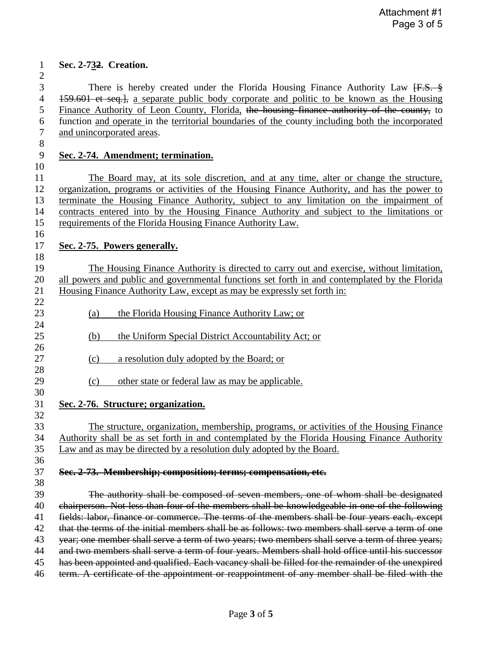## **Sec. 2-732. Creation.**

 There is hereby created under the Florida Housing Finance Authority Law [F.S. § 159.601 et seq.], a separate public body corporate and politic to be known as the Housing Finance Authority of Leon County, Florida, the housing finance authority of the county, to function and operate in the territorial boundaries of the county including both the incorporated and unincorporated areas.

## **Sec. 2-74. Amendment; termination.**

 The Board may, at its sole discretion, and at any time, alter or change the structure, organization, programs or activities of the Housing Finance Authority, and has the power to terminate the Housing Finance Authority, subject to any limitation on the impairment of contracts entered into by the Housing Finance Authority and subject to the limitations or requirements of the Florida Housing Finance Authority Law.

## **Sec. 2-75. Powers generally.**

 The Housing Finance Authority is directed to carry out and exercise, without limitation, all powers and public and governmental functions set forth in and contemplated by the Florida Housing Finance Authority Law, except as may be expressly set forth in:

- (a) the Florida Housing Finance Authority Law; or
- 25 (b) the Uniform Special District Accountability Act; or
- 27 (c) a resolution duly adopted by the Board; or
- 29 (c) other state or federal law as may be applicable.
- **Sec. 2-76. Structure; organization.**

 The structure, organization, membership, programs, or activities of the Housing Finance Authority shall be as set forth in and contemplated by the Florida Housing Finance Authority Law and as may be directed by a resolution duly adopted by the Board.

## **Sec. 2-73. Membership; composition; terms; compensation, etc.**

 The authority shall be composed of seven members, one of whom shall be designated chairperson. Not less than four of the members shall be knowledgeable in one of the following fields: labor, finance or commerce. The terms of the members shall be four years each, except 42 that the terms of the initial members shall be as follows: two members shall serve a term of one 43 year; one member shall serve a term of two years; two members shall serve a term of three years; 44 and two members shall serve a term of four years. Members shall hold office until his successor 45 has been appointed and qualified. Each vacancy shall be filled for the remainder of the unexpired term. A certificate of the appointment or reappointment of any member shall be filed with the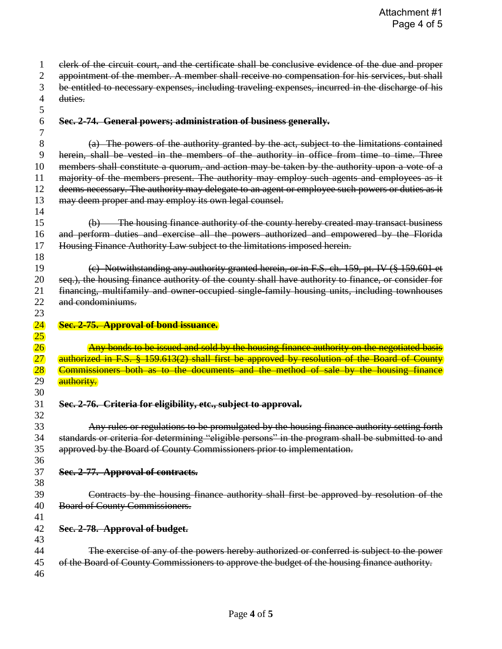| 1                                  | elerk of the circuit court, and the certificate shall be conclusive evidence of the due and proper           |
|------------------------------------|--------------------------------------------------------------------------------------------------------------|
| 2                                  | appointment of the member. A member shall receive no compensation for his services, but shall                |
| 3                                  | be entitled to necessary expenses, including traveling expenses, incurred in the discharge of his<br>duties. |
| 4                                  |                                                                                                              |
| 5<br>6<br>7                        | Sec. 2-74. General powers; administration of business generally.                                             |
| 8                                  | (a) The powers of the authority granted by the act, subject to the limitations contained                     |
| 9                                  | herein, shall be vested in the members of the authority in office from time to time. Three                   |
| 10                                 | members shall constitute a quorum, and action may be taken by the authority upon a vote of a                 |
| 11                                 | majority of the members present. The authority may employ such agents and employees as it                    |
| 12                                 | deems necessary. The authority may delegate to an agent or employee such powers or duties as it              |
| 13                                 | may deem proper and may employ its own legal counsel.                                                        |
| 14                                 |                                                                                                              |
| 15                                 | (b) The housing finance authority of the county hereby created may transact business                         |
| 16                                 | and perform duties and exercise all the powers authorized and empowered by the Florida                       |
| 17                                 | Housing Finance Authority Law subject to the limitations imposed herein.                                     |
| 18                                 |                                                                                                              |
| 19                                 | (c) Notwithstanding any authority granted herein, or in F.S. ch. 159, pt. IV (§ 159.601 et                   |
| 20                                 | seq.), the housing finance authority of the county shall have authority to finance, or consider for          |
| 21                                 | financing, multifamily and owner-occupied single-family housing units, including townhouses                  |
| 22                                 | and condominiums.                                                                                            |
| 23                                 |                                                                                                              |
|                                    |                                                                                                              |
|                                    | Sec. 2-75. Approval of bond issuance.                                                                        |
| $\overline{24}$<br>$25\overline{}$ |                                                                                                              |
| 26                                 | Any bonds to be issued and sold by the housing finance authority on the negotiated basis                     |
| $27\,$                             | authorized in F.S. § 159.613(2) shall first be approved by resolution of the Board of County                 |
| 28                                 | Commissioners both as to the documents and the method of sale by the housing finance                         |
| 29                                 | authority.                                                                                                   |
| 30<br>31                           | Sec. 2-76. Criteria for eligibility, etc., subject to approval.                                              |
| 32                                 |                                                                                                              |
| 33                                 | Any rules or regulations to be promulgated by the housing finance authority setting forth                    |
| 34                                 | standards or criteria for determining "eligible persons" in the program shall be submitted to and            |
| 35                                 | approved by the Board of County Commissioners prior to implementation.                                       |
| 36                                 |                                                                                                              |
| 37                                 | Sec. 2-77. Approval of contracts.                                                                            |
| 38                                 |                                                                                                              |
| 39                                 | Contracts by the housing finance authority shall first be approved by resolution of the                      |
| 40                                 | <b>Board of County Commissioners.</b>                                                                        |
| 41                                 |                                                                                                              |
| 42                                 | Sec. 2-78. Approval of budget.                                                                               |
| 43                                 |                                                                                                              |
| 44                                 | The exercise of any of the powers hereby authorized or conferred is subject to the power                     |
| 45                                 | of the Board of County Commissioners to approve the budget of the housing finance authority.                 |